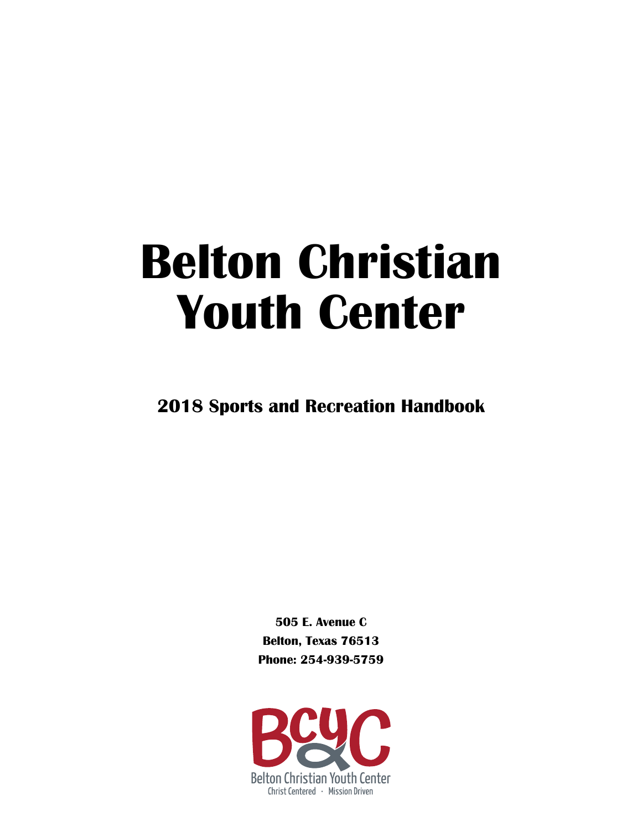# **Belton Christian Youth Center**

**2018 Sports and Recreation Handbook**

**505 E. Avenue C Belton, Texas 76513 Phone: 254-939-5759**

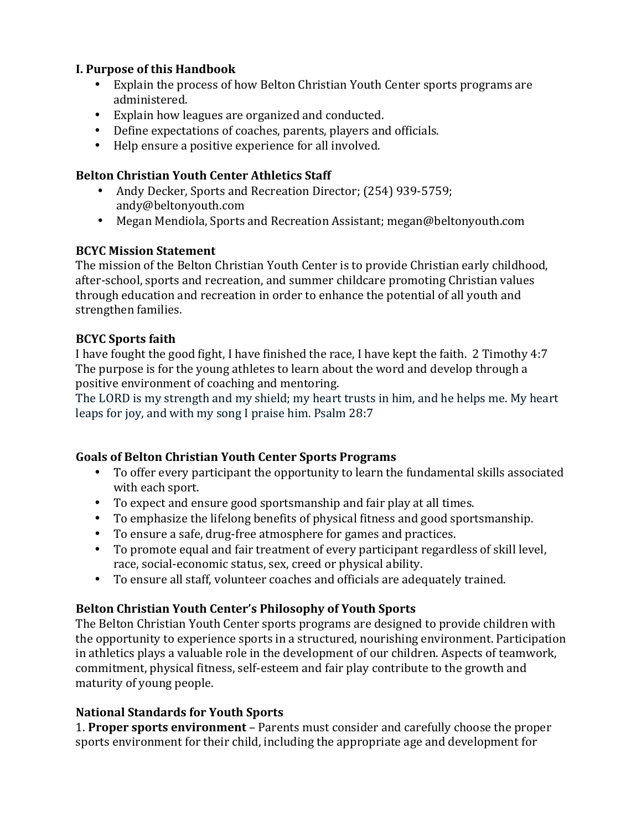#### **I. Purpose of this Handbook**

- Explain the process of how Belton Christian Youth Center sports programs are administered.
- Explain how leagues are organized and conducted.
- Define expectations of coaches, parents, players and officials.
- Help ensure a positive experience for all involved.

#### **Belton Christian Youth Center Athletics Staff**

- Andy Decker, Sports and Recreation Director; (254) 939-5759; andy@beltonyouth.com
- Megan Mendiola, Sports and Recreation Assistant; megan@beltonyouth.com

#### **BCYC Mission Statement**

The mission of the Belton Christian Youth Center is to provide Christian early childhood, after-school, sports and recreation, and summer childcare promoting Christian values through education and recreation in order to enhance the potential of all youth and strengthen families.

#### **BCYC Sports faith**

I have fought the good fight, I have finished the race, I have kept the faith. 2 Timothy 4:7 The purpose is for the young athletes to learn about the word and develop through a positive environment of coaching and mentoring.

The LORD is my strength and my shield; my heart trusts in him, and he helps me. My heart leaps for joy, and with my song I praise him. Psalm 28:7

## Goals of Belton Christian Youth Center Sports Programs

- To offer every participant the opportunity to learn the fundamental skills associated with each sport.
- To expect and ensure good sportsmanship and fair play at all times.
- To emphasize the lifelong benefits of physical fitness and good sportsmanship.
- To ensure a safe, drug-free atmosphere for games and practices.
- To promote equal and fair treatment of every participant regardless of skill level, race, social-economic status, sex, creed or physical ability.
- To ensure all staff, volunteer coaches and officials are adequately trained.

## Belton Christian Youth Center's Philosophy of Youth Sports

The Belton Christian Youth Center sports programs are designed to provide children with the opportunity to experience sports in a structured, nourishing environment. Participation in athletics plays a valuable role in the development of our children. Aspects of teamwork, commitment, physical fitness, self-esteem and fair play contribute to the growth and maturity of young people.

## **National Standards for Youth Sports**

1. **Proper sports environment** – Parents must consider and carefully choose the proper sports environment for their child, including the appropriate age and development for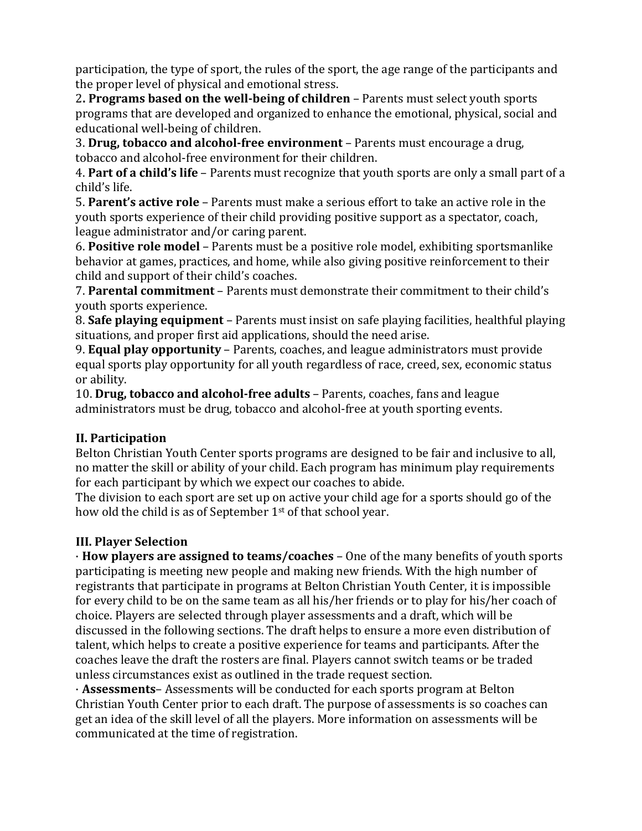participation, the type of sport, the rules of the sport, the age range of the participants and the proper level of physical and emotional stress.

2. Programs based on the well-being of children – Parents must select youth sports programs that are developed and organized to enhance the emotional, physical, social and educational well-being of children.

3. **Drug, tobacco and alcohol-free environment** – Parents must encourage a drug, tobacco and alcohol-free environment for their children.

4. Part of a child's life - Parents must recognize that youth sports are only a small part of a child's life.

5. **Parent's active role** – Parents must make a serious effort to take an active role in the youth sports experience of their child providing positive support as a spectator, coach, league administrator and/or caring parent.

6. **Positive role model** – Parents must be a positive role model, exhibiting sportsmanlike behavior at games, practices, and home, while also giving positive reinforcement to their child and support of their child's coaches.

**7. Parental commitment** – Parents must demonstrate their commitment to their child's youth sports experience.

8. **Safe playing equipment** – Parents must insist on safe playing facilities, healthful playing situations, and proper first aid applications, should the need arise.

9. **Equal play opportunity** – Parents, coaches, and league administrators must provide equal sports play opportunity for all youth regardless of race, creed, sex, economic status or ability.

**10. Drug, tobacco and alcohol-free adults** – Parents, coaches, fans and league administrators must be drug, tobacco and alcohol-free at youth sporting events.

# **II. Participation**

Belton Christian Youth Center sports programs are designed to be fair and inclusive to all, no matter the skill or ability of your child. Each program has minimum play requirements for each participant by which we expect our coaches to abide.

The division to each sport are set up on active your child age for a sports should go of the how old the child is as of September 1<sup>st</sup> of that school year.

# **III. Player Selection**

· **How players are assigned to teams/coaches** – One of the many benefits of youth sports participating is meeting new people and making new friends. With the high number of registrants that participate in programs at Belton Christian Youth Center, it is impossible for every child to be on the same team as all his/her friends or to play for his/her coach of choice. Players are selected through player assessments and a draft, which will be discussed in the following sections. The draft helps to ensure a more even distribution of talent, which helps to create a positive experience for teams and participants. After the coaches leave the draft the rosters are final. Players cannot switch teams or be traded unless circumstances exist as outlined in the trade request section.

· **Assessments**– Assessments will be conducted for each sports program at Belton Christian Youth Center prior to each draft. The purpose of assessments is so coaches can get an idea of the skill level of all the players. More information on assessments will be communicated at the time of registration.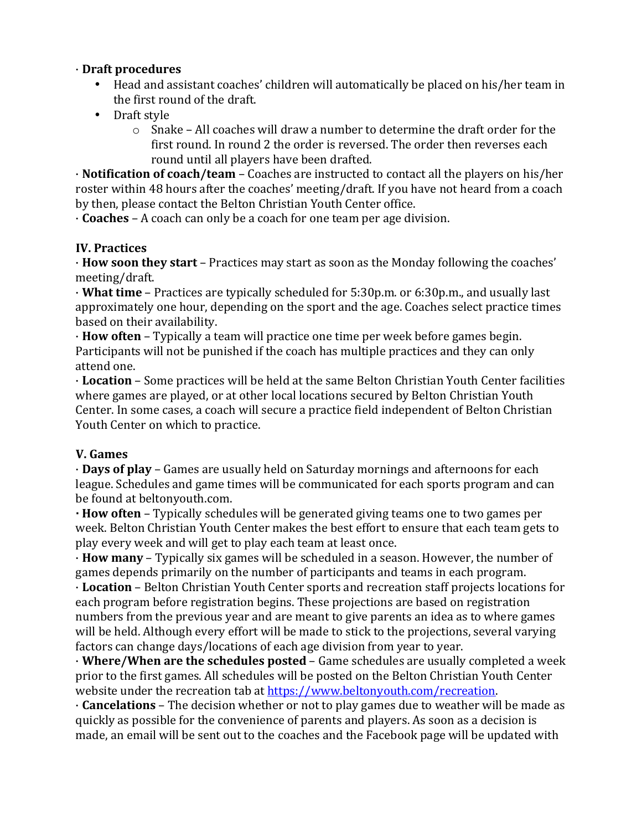## · **Draft procedures**

- Head and assistant coaches' children will automatically be placed on his/her team in the first round of the draft.
- Draft style
	- $\circ$  Snake All coaches will draw a number to determine the draft order for the first round. In round 2 the order is reversed. The order then reverses each round until all players have been drafted.

• **Notification of coach/team** – Coaches are instructed to contact all the players on his/her roster within 48 hours after the coaches' meeting/draft. If you have not heard from a coach by then, please contact the Belton Christian Youth Center office.

 $\cdot$  **Coaches** – A coach can only be a coach for one team per age division.

#### **IV. Practices**

· **How soon they start** – Practices may start as soon as the Monday following the coaches' meeting/draft.

• **What time** – Practices are typically scheduled for 5:30p.m. or 6:30p.m., and usually last approximately one hour, depending on the sport and the age. Coaches select practice times based on their availability.

**· How often** – Typically a team will practice one time per week before games begin. Participants will not be punished if the coach has multiple practices and they can only attend one.

**· Location** – Some practices will be held at the same Belton Christian Youth Center facilities where games are played, or at other local locations secured by Belton Christian Youth Center. In some cases, a coach will secure a practice field independent of Belton Christian Youth Center on which to practice.

## **V. Games**

**· Days of play** – Games are usually held on Saturday mornings and afternoons for each league. Schedules and game times will be communicated for each sports program and can be found at beltonyouth.com.

**· How often** – Typically schedules will be generated giving teams one to two games per week. Belton Christian Youth Center makes the best effort to ensure that each team gets to play every week and will get to play each team at least once.

**· How many** – Typically six games will be scheduled in a season. However, the number of games depends primarily on the number of participants and teams in each program.

**· Location** – Belton Christian Youth Center sports and recreation staff projects locations for each program before registration begins. These projections are based on registration numbers from the previous year and are meant to give parents an idea as to where games will be held. Although every effort will be made to stick to the projections, several varying factors can change days/locations of each age division from year to year.

• **Where/When are the schedules posted** – Game schedules are usually completed a week prior to the first games. All schedules will be posted on the Belton Christian Youth Center website under the recreation tab at https://www.beltonyouth.com/recreation.

 $\cdot$  **Cancelations** – The decision whether or not to play games due to weather will be made as quickly as possible for the convenience of parents and players. As soon as a decision is made, an email will be sent out to the coaches and the Facebook page will be updated with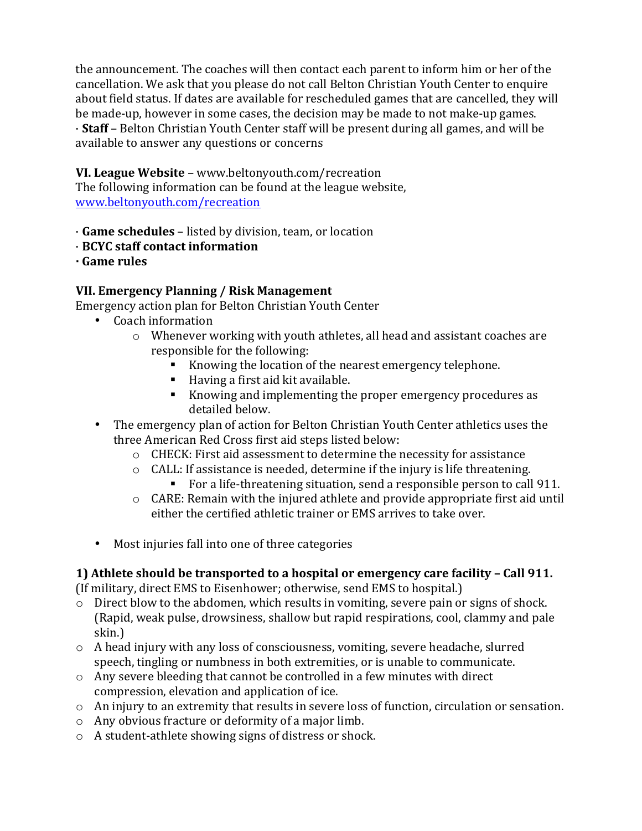the announcement. The coaches will then contact each parent to inform him or her of the cancellation. We ask that you please do not call Belton Christian Youth Center to enquire about field status. If dates are available for rescheduled games that are cancelled, they will be made-up, however in some cases, the decision may be made to not make-up games.  $\cdot$  **Staff** – Belton Christian Youth Center staff will be present during all games, and will be available to answer any questions or concerns

#### **VI. League Website** - www.beltonyouth.com/recreation

The following information can be found at the league website, www.beltonyouth.com/recreation

· **Game schedules** – listed by division, team, or location

- · **BCYC staff contact information**
- **· Game rules**

## **VII. Emergency Planning / Risk Management**

Emergency action plan for Belton Christian Youth Center

- Coach information
	- $\circ$  Whenever working with youth athletes, all head and assistant coaches are responsible for the following:
		- Knowing the location of the nearest emergency telephone.
		- $\blacksquare$  Having a first aid kit available.
		- Knowing and implementing the proper emergency procedures as detailed below.
- The emergency plan of action for Belton Christian Youth Center athletics uses the three American Red Cross first aid steps listed below:
	- $\circ$  CHECK: First aid assessment to determine the necessity for assistance
	- $\circ$  CALL: If assistance is needed, determine if the injury is life threatening. • For a life-threatening situation, send a responsible person to call 911.
	- $\circ$  CARE: Remain with the injured athlete and provide appropriate first aid until either the certified athletic trainer or EMS arrives to take over.
- Most injuries fall into one of three categories

## **1) Athlete should be transported to a hospital or emergency care facility – Call 911.**

(If military, direct EMS to Eisenhower; otherwise, send EMS to hospital.)

- $\circ$  Direct blow to the abdomen, which results in vomiting, severe pain or signs of shock. (Rapid, weak pulse, drowsiness, shallow but rapid respirations, cool, clammy and pale skin.)
- $\circ$  A head injury with any loss of consciousness, vomiting, severe headache, slurred speech, tingling or numbness in both extremities, or is unable to communicate.
- $\circ$  Any severe bleeding that cannot be controlled in a few minutes with direct compression, elevation and application of ice.
- o An injury to an extremity that results in severe loss of function, circulation or sensation.
- $\circ$  Any obvious fracture or deformity of a major limb.
- $\circ$  A student-athlete showing signs of distress or shock.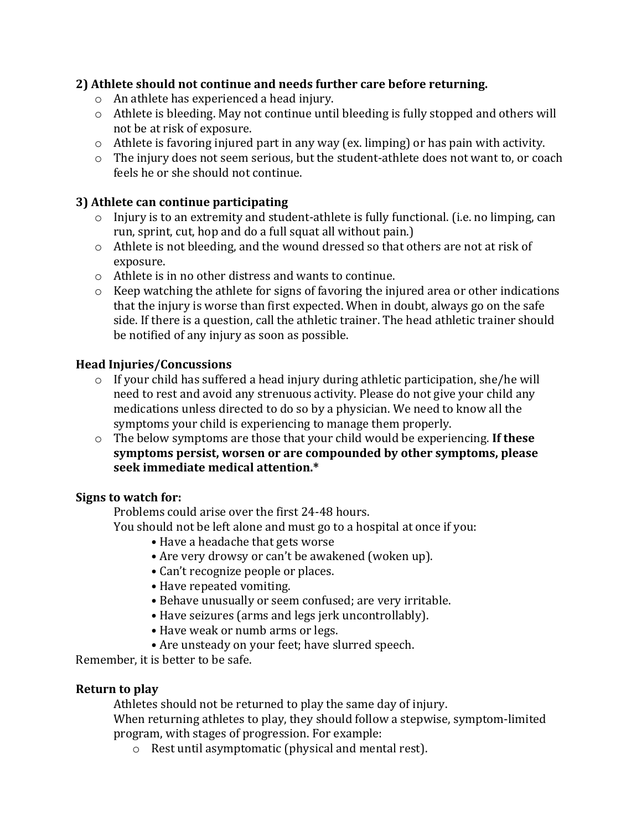# **2) Athlete should not continue and needs further care before returning.**

- $\circ$  An athlete has experienced a head injury.
- $\circ$  Athlete is bleeding. May not continue until bleeding is fully stopped and others will not be at risk of exposure.
- $\circ$  Athlete is favoring injured part in any way (ex. limping) or has pain with activity.
- $\circ$  The injury does not seem serious, but the student-athlete does not want to, or coach feels he or she should not continue.

# **3)** Athlete can continue participating

- $\circ$  Injury is to an extremity and student-athlete is fully functional. (i.e. no limping, can run, sprint, cut, hop and do a full squat all without pain.)
- $\circ$  Athlete is not bleeding, and the wound dressed so that others are not at risk of exposure.
- $\circ$  Athlete is in no other distress and wants to continue.
- $\circ$  Keep watching the athlete for signs of favoring the injured area or other indications that the injury is worse than first expected. When in doubt, always go on the safe side. If there is a question, call the athletic trainer. The head athletic trainer should be notified of any injury as soon as possible.

## **Head Injuries/Concussions**

- $\circ$  If your child has suffered a head injury during athletic participation, she/he will need to rest and avoid any strenuous activity. Please do not give your child any medications unless directed to do so by a physician. We need to know all the symptoms your child is experiencing to manage them properly.
- o The below symptoms are those that your child would be experiencing. If these symptoms persist, worsen or are compounded by other symptoms, please **seek immediate medical attention.\***

## **Signs to watch for:**

Problems could arise over the first 24-48 hours.

You should not be left alone and must go to a hospital at once if you:

- Have a headache that gets worse
- Are very drowsy or can't be awakened (woken up).
- Can't recognize people or places.
- Have repeated vomiting.
- Behave unusually or seem confused; are very irritable.
- Have seizures (arms and legs jerk uncontrollably).
- Have weak or numb arms or legs.
- Are unsteady on your feet; have slurred speech.

Remember, it is better to be safe.

#### **Return to play**

Athletes should not be returned to play the same day of injury.

When returning athletes to play, they should follow a stepwise, symptom-limited program, with stages of progression. For example:

 $\circ$  Rest until asymptomatic (physical and mental rest).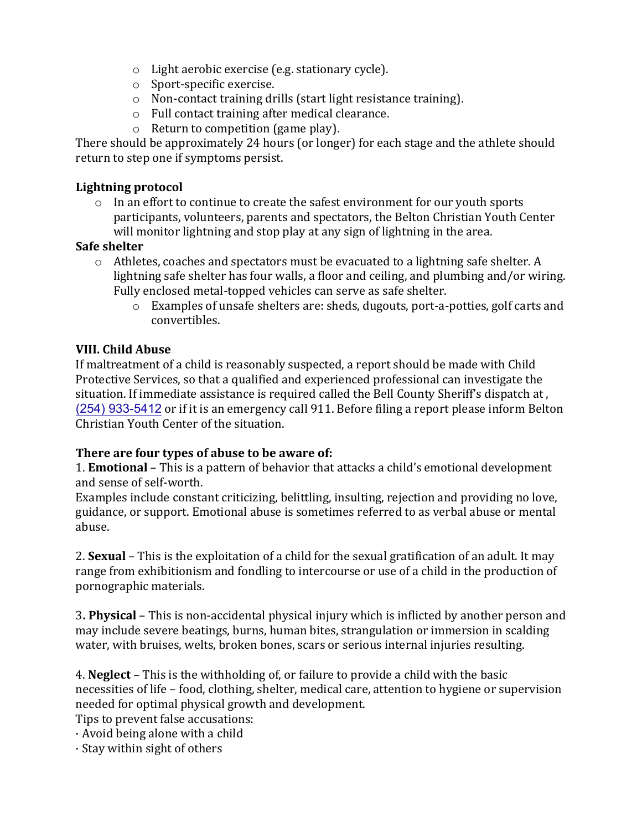- $\circ$  Light aerobic exercise (e.g. stationary cycle).
- $\circ$  Sport-specific exercise.
- $\circ$  Non-contact training drills (start light resistance training).
- $\circ$  Full contact training after medical clearance.
- $\circ$  Return to competition (game play).

There should be approximately 24 hours (or longer) for each stage and the athlete should return to step one if symptoms persist.

#### **Lightning protocol**

 $\circ$  In an effort to continue to create the safest environment for our youth sports participants, volunteers, parents and spectators, the Belton Christian Youth Center will monitor lightning and stop play at any sign of lightning in the area.

#### **Safe shelter**

- $\circ$  Athletes, coaches and spectators must be evacuated to a lightning safe shelter. A lightning safe shelter has four walls, a floor and ceiling, and plumbing and/or wiring. Fully enclosed metal-topped vehicles can serve as safe shelter.
	- o Examples of unsafe shelters are: sheds, dugouts, port-a-potties, golf carts and convertibles.

#### **VIII. Child Abuse**

If maltreatment of a child is reasonably suspected, a report should be made with Child Protective Services, so that a qualified and experienced professional can investigate the situation. If immediate assistance is required called the Bell County Sheriff's dispatch at, (254) 933-5412 or if it is an emergency call 911. Before filing a report please inform Belton Christian Youth Center of the situation.

#### **There are four types of abuse to be aware of:**

1. **Emotional** – This is a pattern of behavior that attacks a child's emotional development and sense of self-worth.

Examples include constant criticizing, belittling, insulting, rejection and providing no love, guidance, or support. Emotional abuse is sometimes referred to as verbal abuse or mental abuse.

2. **Sexual** – This is the exploitation of a child for the sexual gratification of an adult. It may range from exhibitionism and fondling to intercourse or use of a child in the production of pornographic materials.

**3. Physical** – This is non-accidental physical injury which is inflicted by another person and may include severe beatings, burns, human bites, strangulation or immersion in scalding water, with bruises, welts, broken bones, scars or serious internal injuries resulting.

4. **Neglect** – This is the withholding of, or failure to provide a child with the basic necessities of life – food, clothing, shelter, medical care, attention to hygiene or supervision needed for optimal physical growth and development.

Tips to prevent false accusations:

 $\cdot$  Avoid being alone with a child

 $\cdot$  Stay within sight of others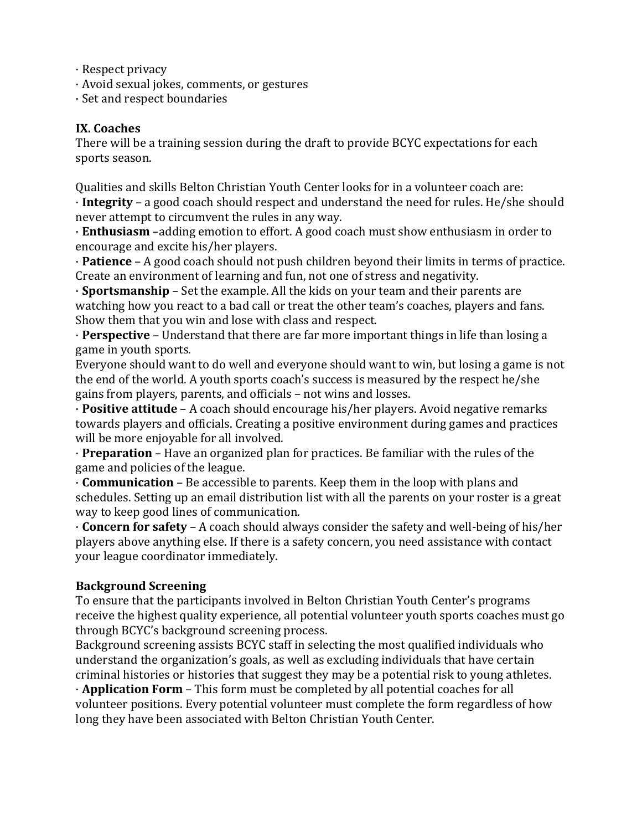- $\cdot$  Respect privacy
- · Avoid sexual jokes, comments, or gestures
- · Set and respect boundaries

#### **IX. Coaches**

There will be a training session during the draft to provide BCYC expectations for each sports season.

Qualities and skills Belton Christian Youth Center looks for in a volunteer coach are: · **Integrity** – a good coach should respect and understand the need for rules. He/she should never attempt to circumvent the rules in any way.

· **Enthusiasm** –adding emotion to effort. A good coach must show enthusiasm in order to encourage and excite his/her players.

• **Patience** – A good coach should not push children beyond their limits in terms of practice. Create an environment of learning and fun, not one of stress and negativity.

• **Sportsmanship** – Set the example. All the kids on your team and their parents are watching how you react to a bad call or treat the other team's coaches, players and fans. Show them that you win and lose with class and respect.

• **Perspective** – Understand that there are far more important things in life than losing a game in youth sports.

Everyone should want to do well and everyone should want to win, but losing a game is not the end of the world. A youth sports coach's success is measured by the respect he/she gains from players, parents, and officials – not wins and losses.

**· Positive attitude** – A coach should encourage his/her players. Avoid negative remarks towards players and officials. Creating a positive environment during games and practices will be more enjoyable for all involved.

· **Preparation** – Have an organized plan for practices. Be familiar with the rules of the game and policies of the league.

· **Communication** – Be accessible to parents. Keep them in the loop with plans and schedules. Setting up an email distribution list with all the parents on your roster is a great way to keep good lines of communication.

 $\cdot$  **Concern for safety** – A coach should always consider the safety and well-being of his/her players above anything else. If there is a safety concern, you need assistance with contact your league coordinator immediately.

#### **Background Screening**

To ensure that the participants involved in Belton Christian Youth Center's programs receive the highest quality experience, all potential volunteer youth sports coaches must go through BCYC's background screening process.

Background screening assists BCYC staff in selecting the most qualified individuals who understand the organization's goals, as well as excluding individuals that have certain criminal histories or histories that suggest they may be a potential risk to young athletes.

• **Application Form** – This form must be completed by all potential coaches for all volunteer positions. Every potential volunteer must complete the form regardless of how long they have been associated with Belton Christian Youth Center.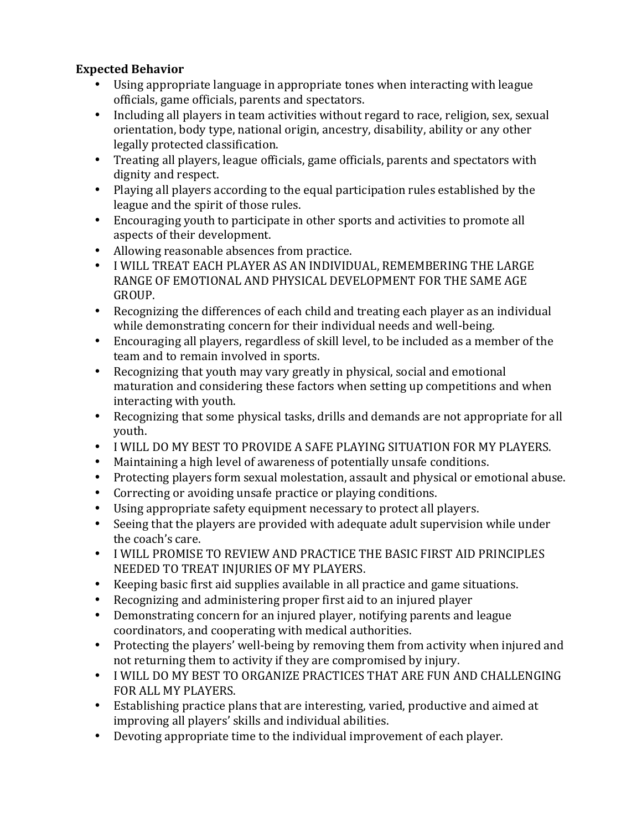# **Expected Behavior**

- Using appropriate language in appropriate tones when interacting with league officials, game officials, parents and spectators.
- Including all players in team activities without regard to race, religion, sex, sexual orientation, body type, national origin, ancestry, disability, ability or any other legally protected classification.
- Treating all players, league officials, game officials, parents and spectators with dignity and respect.
- Playing all players according to the equal participation rules established by the league and the spirit of those rules.
- Encouraging youth to participate in other sports and activities to promote all aspects of their development.
- Allowing reasonable absences from practice.
- I WILL TREAT EACH PLAYER AS AN INDIVIDUAL, REMEMBERING THE LARGE RANGE OF EMOTIONAL AND PHYSICAL DEVELOPMENT FOR THE SAME AGE GROUP.
- Recognizing the differences of each child and treating each player as an individual while demonstrating concern for their individual needs and well-being.
- Encouraging all players, regardless of skill level, to be included as a member of the team and to remain involved in sports.
- Recognizing that youth may vary greatly in physical, social and emotional maturation and considering these factors when setting up competitions and when interacting with youth.
- Recognizing that some physical tasks, drills and demands are not appropriate for all youth.
- I WILL DO MY BEST TO PROVIDE A SAFE PLAYING SITUATION FOR MY PLAYERS.
- Maintaining a high level of awareness of potentially unsafe conditions.
- Protecting players form sexual molestation, assault and physical or emotional abuse.
- Correcting or avoiding unsafe practice or playing conditions.
- Using appropriate safety equipment necessary to protect all players.
- Seeing that the players are provided with adequate adult supervision while under the coach's care.
- I WILL PROMISE TO REVIEW AND PRACTICE THE BASIC FIRST AID PRINCIPLES NEEDED TO TREAT INJURIES OF MY PLAYERS.
- Keeping basic first aid supplies available in all practice and game situations.
- Recognizing and administering proper first aid to an injured player
- Demonstrating concern for an injured player, notifying parents and league coordinators, and cooperating with medical authorities.
- Protecting the players' well-being by removing them from activity when injured and not returning them to activity if they are compromised by injury.
- I WILL DO MY BEST TO ORGANIZE PRACTICES THAT ARE FUN AND CHALLENGING FOR ALL MY PLAYERS.
- Establishing practice plans that are interesting, varied, productive and aimed at improving all players' skills and individual abilities.
- Devoting appropriate time to the individual improvement of each player.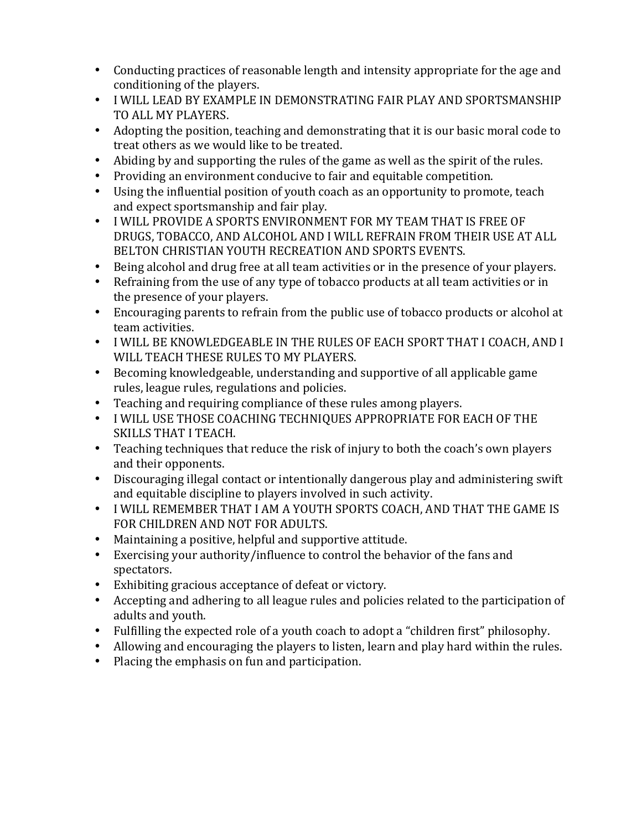- Conducting practices of reasonable length and intensity appropriate for the age and conditioning of the players.
- I WILL LEAD BY EXAMPLE IN DEMONSTRATING FAIR PLAY AND SPORTSMANSHIP TO ALL MY PLAYERS.
- Adopting the position, teaching and demonstrating that it is our basic moral code to treat others as we would like to be treated.
- Abiding by and supporting the rules of the game as well as the spirit of the rules.
- Providing an environment conducive to fair and equitable competition.
- Using the influential position of youth coach as an opportunity to promote, teach and expect sportsmanship and fair play.
- I WILL PROVIDE A SPORTS ENVIRONMENT FOR MY TEAM THAT IS FREE OF DRUGS, TOBACCO, AND ALCOHOL AND I WILL REFRAIN FROM THEIR USE AT ALL BELTON CHRISTIAN YOUTH RECREATION AND SPORTS EVENTS.
- Being alcohol and drug free at all team activities or in the presence of your players.
- Refraining from the use of any type of tobacco products at all team activities or in the presence of your players.
- Encouraging parents to refrain from the public use of tobacco products or alcohol at team activities.
- I WILL BE KNOWLEDGEABLE IN THE RULES OF EACH SPORT THAT I COACH, AND I WILL TEACH THESE RULES TO MY PLAYERS.
- Becoming knowledgeable, understanding and supportive of all applicable game rules, league rules, regulations and policies.
- Teaching and requiring compliance of these rules among players.
- I WILL USE THOSE COACHING TECHNIQUES APPROPRIATE FOR EACH OF THE SKILLS THAT I TEACH.
- Teaching techniques that reduce the risk of injury to both the coach's own players and their opponents.
- Discouraging illegal contact or intentionally dangerous play and administering swift and equitable discipline to players involved in such activity.
- I WILL REMEMBER THAT I AM A YOUTH SPORTS COACH, AND THAT THE GAME IS FOR CHILDREN AND NOT FOR ADULTS.
- Maintaining a positive, helpful and supportive attitude.
- Exercising your authority/influence to control the behavior of the fans and spectators.
- Exhibiting gracious acceptance of defeat or victory.
- Accepting and adhering to all league rules and policies related to the participation of adults and youth.
- Fulfilling the expected role of a youth coach to adopt a "children first" philosophy.
- Allowing and encouraging the players to listen, learn and play hard within the rules.
- Placing the emphasis on fun and participation.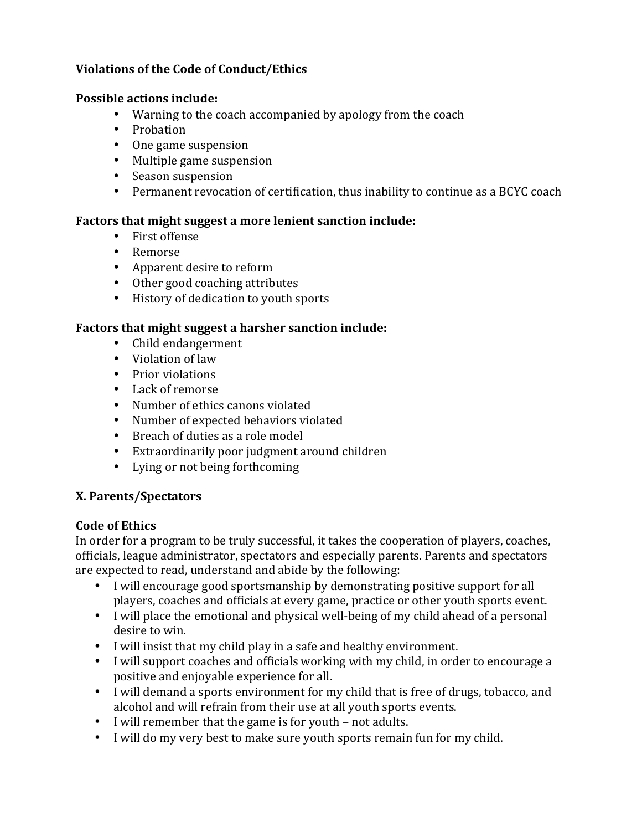#### **Violations of the Code of Conduct/Ethics**

#### **Possible actions include:**

- Warning to the coach accompanied by apology from the coach
- Probation
- One game suspension
- Multiple game suspension
- Season suspension
- Permanent revocation of certification, thus inability to continue as a BCYC coach

#### Factors that might suggest a more lenient sanction include:

- First offense
- Remorse
- Apparent desire to reform
- Other good coaching attributes
- History of dedication to youth sports

#### **Factors that might suggest a harsher sanction include:**

- Child endangerment
- Violation of law
- Prior violations
- Lack of remorse
- Number of ethics canons violated
- Number of expected behaviors violated
- Breach of duties as a role model
- Extraordinarily poor judgment around children
- Lying or not being forthcoming

#### **X. Parents/Spectators**

#### **Code of Ethics**

In order for a program to be truly successful, it takes the cooperation of players, coaches, officials, league administrator, spectators and especially parents. Parents and spectators are expected to read, understand and abide by the following:

- I will encourage good sportsmanship by demonstrating positive support for all players, coaches and officials at every game, practice or other youth sports event.
- I will place the emotional and physical well-being of my child ahead of a personal desire to win.
- I will insist that my child play in a safe and healthy environment.
- I will support coaches and officials working with my child, in order to encourage a positive and enjoyable experience for all.
- I will demand a sports environment for my child that is free of drugs, tobacco, and alcohol and will refrain from their use at all youth sports events.
- I will remember that the game is for youth not adults.
- I will do my very best to make sure youth sports remain fun for my child.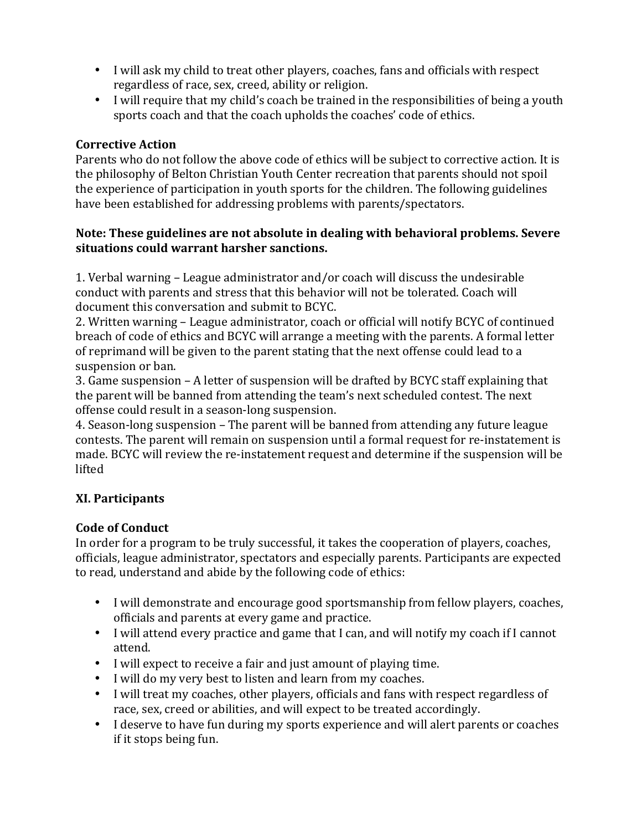- I will ask my child to treat other players, coaches, fans and officials with respect regardless of race, sex, creed, ability or religion.
- I will require that my child's coach be trained in the responsibilities of being a youth sports coach and that the coach upholds the coaches' code of ethics.

## **Corrective Action**

Parents who do not follow the above code of ethics will be subject to corrective action. It is the philosophy of Belton Christian Youth Center recreation that parents should not spoil the experience of participation in youth sports for the children. The following guidelines have been established for addressing problems with parents/spectators.

#### **Note: These guidelines are not absolute in dealing with behavioral problems. Severe situations could warrant harsher sanctions.**

1. Verbal warning – League administrator and/or coach will discuss the undesirable conduct with parents and stress that this behavior will not be tolerated. Coach will document this conversation and submit to BCYC.

2. Written warning – League administrator, coach or official will notify BCYC of continued breach of code of ethics and BCYC will arrange a meeting with the parents. A formal letter of reprimand will be given to the parent stating that the next offense could lead to a suspension or ban.

3. Game suspension - A letter of suspension will be drafted by BCYC staff explaining that the parent will be banned from attending the team's next scheduled contest. The next offense could result in a season-long suspension.

4. Season-long suspension – The parent will be banned from attending any future league contests. The parent will remain on suspension until a formal request for re-instatement is made. BCYC will review the re-instatement request and determine if the suspension will be lifted

## **XI. Participants**

## **Code of Conduct**

In order for a program to be truly successful, it takes the cooperation of players, coaches, officials, league administrator, spectators and especially parents. Participants are expected to read, understand and abide by the following code of ethics:

- I will demonstrate and encourage good sportsmanship from fellow players, coaches, officials and parents at every game and practice.
- I will attend every practice and game that I can, and will notify my coach if I cannot attend.
- I will expect to receive a fair and just amount of playing time.
- I will do my very best to listen and learn from my coaches.
- I will treat my coaches, other players, officials and fans with respect regardless of race, sex, creed or abilities, and will expect to be treated accordingly.
- I deserve to have fun during my sports experience and will alert parents or coaches if it stops being fun.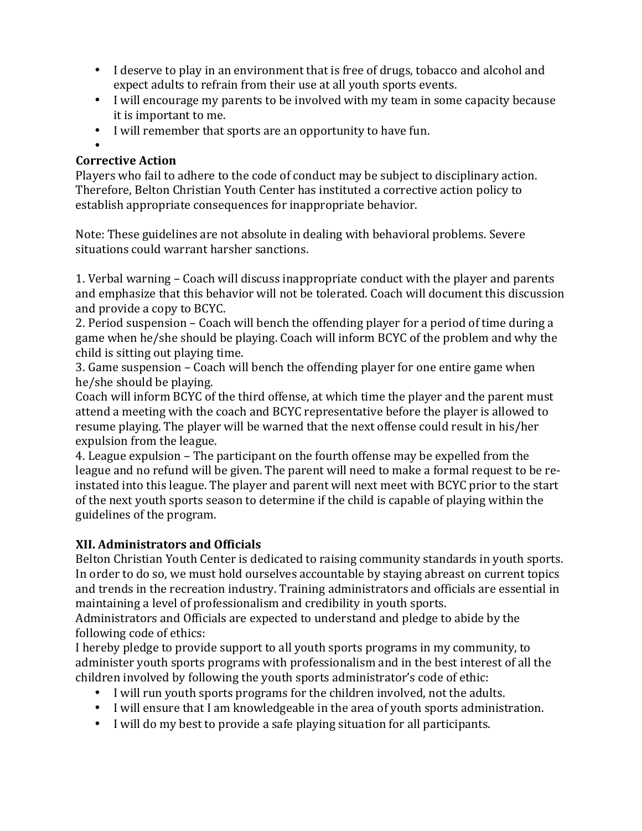- I deserve to play in an environment that is free of drugs, tobacco and alcohol and expect adults to refrain from their use at all youth sports events.
- I will encourage my parents to be involved with my team in some capacity because it is important to me.
- I will remember that sports are an opportunity to have fun.

#### • **Corrective Action**

Players who fail to adhere to the code of conduct may be subject to disciplinary action. Therefore, Belton Christian Youth Center has instituted a corrective action policy to establish appropriate consequences for inappropriate behavior.

Note: These guidelines are not absolute in dealing with behavioral problems. Severe situations could warrant harsher sanctions.

1. Verbal warning – Coach will discuss inappropriate conduct with the player and parents and emphasize that this behavior will not be tolerated. Coach will document this discussion and provide a copy to BCYC.

2. Period suspension – Coach will bench the offending player for a period of time during a game when he/she should be playing. Coach will inform BCYC of the problem and why the child is sitting out playing time.

3. Game suspension – Coach will bench the offending player for one entire game when he/she should be playing.

Coach will inform BCYC of the third offense, at which time the player and the parent must attend a meeting with the coach and BCYC representative before the player is allowed to resume playing. The player will be warned that the next offense could result in his/her expulsion from the league.

4. League expulsion – The participant on the fourth offense may be expelled from the league and no refund will be given. The parent will need to make a formal request to be reinstated into this league. The player and parent will next meet with BCYC prior to the start of the next youth sports season to determine if the child is capable of playing within the guidelines of the program.

# **XII. Administrators and Officials**

Belton Christian Youth Center is dedicated to raising community standards in youth sports. In order to do so, we must hold ourselves accountable by staying abreast on current topics and trends in the recreation industry. Training administrators and officials are essential in maintaining a level of professionalism and credibility in youth sports.

Administrators and Officials are expected to understand and pledge to abide by the following code of ethics:

I hereby pledge to provide support to all youth sports programs in my community, to administer youth sports programs with professionalism and in the best interest of all the children involved by following the youth sports administrator's code of ethic:

- I will run youth sports programs for the children involved, not the adults.
- I will ensure that I am knowledgeable in the area of youth sports administration.
- I will do my best to provide a safe playing situation for all participants.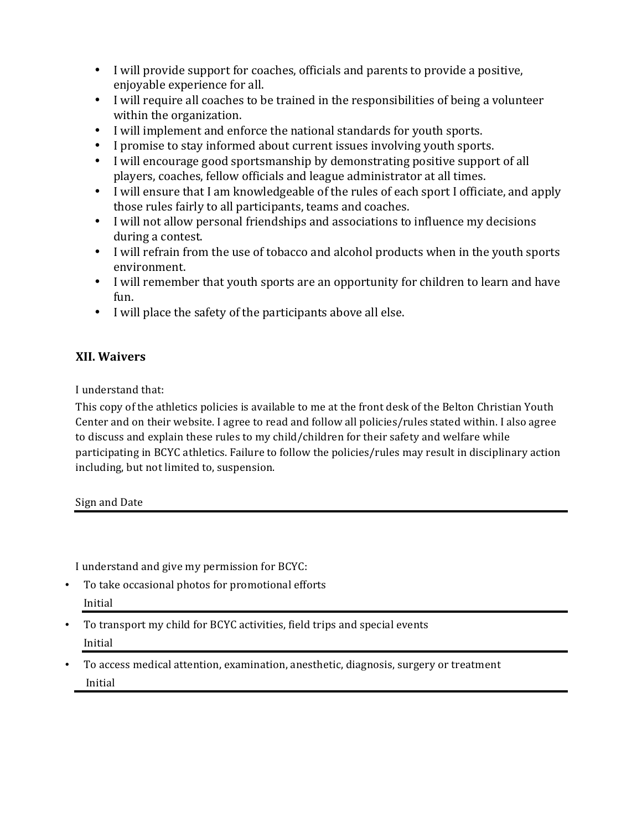- I will provide support for coaches, officials and parents to provide a positive, enjoyable experience for all.
- I will require all coaches to be trained in the responsibilities of being a volunteer within the organization.
- I will implement and enforce the national standards for youth sports.
- I promise to stay informed about current issues involving youth sports.
- I will encourage good sportsmanship by demonstrating positive support of all players, coaches, fellow officials and league administrator at all times.
- I will ensure that I am knowledgeable of the rules of each sport I officiate, and apply those rules fairly to all participants, teams and coaches.
- I will not allow personal friendships and associations to influence my decisions during a contest.
- I will refrain from the use of tobacco and alcohol products when in the youth sports environment.
- I will remember that youth sports are an opportunity for children to learn and have fun.
- I will place the safety of the participants above all else.

# **XII. Waivers**

I understand that:

This copy of the athletics policies is available to me at the front desk of the Belton Christian Youth Center and on their website. I agree to read and follow all policies/rules stated within. I also agree to discuss and explain these rules to my child/children for their safety and welfare while participating in BCYC athletics. Failure to follow the policies/rules may result in disciplinary action including, but not limited to, suspension.

#### Sign and Date

I understand and give my permission for BCYC:

- To take occasional photos for promotional efforts Initial
- To transport my child for BCYC activities, field trips and special events Initial
- To access medical attention, examination, anesthetic, diagnosis, surgery or treatment Initial